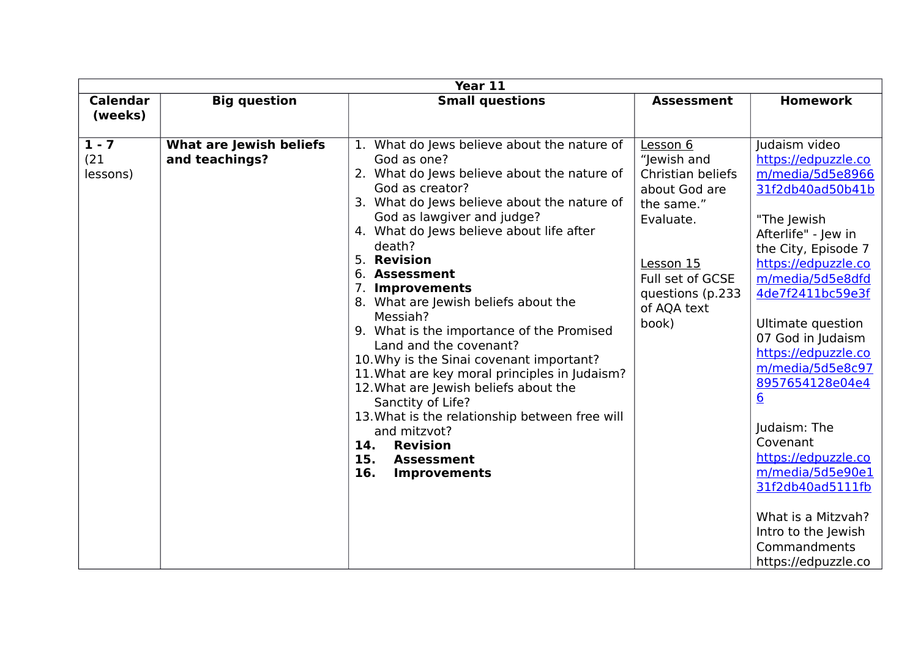| Year 11                     |                                           |                                                                                                                                                                                                                                                                                                                                                                                                                                                                                                                                                                                                                                                                                                                                                                   |                                                                                                                                                                       |                                                                                                                                                                                                                                                                                                                                                                                                                                                                                                                    |  |  |  |  |  |
|-----------------------------|-------------------------------------------|-------------------------------------------------------------------------------------------------------------------------------------------------------------------------------------------------------------------------------------------------------------------------------------------------------------------------------------------------------------------------------------------------------------------------------------------------------------------------------------------------------------------------------------------------------------------------------------------------------------------------------------------------------------------------------------------------------------------------------------------------------------------|-----------------------------------------------------------------------------------------------------------------------------------------------------------------------|--------------------------------------------------------------------------------------------------------------------------------------------------------------------------------------------------------------------------------------------------------------------------------------------------------------------------------------------------------------------------------------------------------------------------------------------------------------------------------------------------------------------|--|--|--|--|--|
| <b>Calendar</b><br>(weeks)  | <b>Big question</b>                       | <b>Small questions</b>                                                                                                                                                                                                                                                                                                                                                                                                                                                                                                                                                                                                                                                                                                                                            | <b>Assessment</b>                                                                                                                                                     | <b>Homework</b>                                                                                                                                                                                                                                                                                                                                                                                                                                                                                                    |  |  |  |  |  |
| $1 - 7$<br>(21)<br>lessons) | What are Jewish beliefs<br>and teachings? | What do Jews believe about the nature of<br>1.<br>God as one?<br>2. What do Jews believe about the nature of<br>God as creator?<br>3. What do Jews believe about the nature of<br>God as lawgiver and judge?<br>4. What do Jews believe about life after<br>death?<br>5. Revision<br>6. Assessment<br>7. Improvements<br>8. What are Jewish beliefs about the<br>Messiah?<br>9. What is the importance of the Promised<br>Land and the covenant?<br>10. Why is the Sinai covenant important?<br>11. What are key moral principles in Judaism?<br>12. What are Jewish beliefs about the<br>Sanctity of Life?<br>13. What is the relationship between free will<br>and mitzvot?<br>14.<br><b>Revision</b><br>15.<br><b>Assessment</b><br>16.<br><b>Improvements</b> | Lesson 6<br>"Jewish and<br>Christian beliefs<br>about God are<br>the same."<br>Evaluate.<br>Lesson 15<br>Full set of GCSE<br>questions (p.233<br>of AQA text<br>book) | Judaism video<br>https://edpuzzle.co<br>m/media/5d5e8966<br>31f2db40ad50b41b<br>"The Jewish<br>Afterlife" - Jew in<br>the City, Episode 7<br>https://edpuzzle.co<br>m/media/5d5e8dfd<br>4de7f2411bc59e3f<br>Ultimate question<br>07 God in Judaism<br>https://edpuzzle.co<br>m/media/5d5e8c97<br>8957654128e04e4<br>$\underline{6}$<br>Judaism: The<br>Covenant<br>https://edpuzzle.co<br>m/media/5d5e90e1<br>31f2db40ad5111fb<br>What is a Mitzvah?<br>Intro to the Jewish<br>Commandments<br>https://edpuzzle.co |  |  |  |  |  |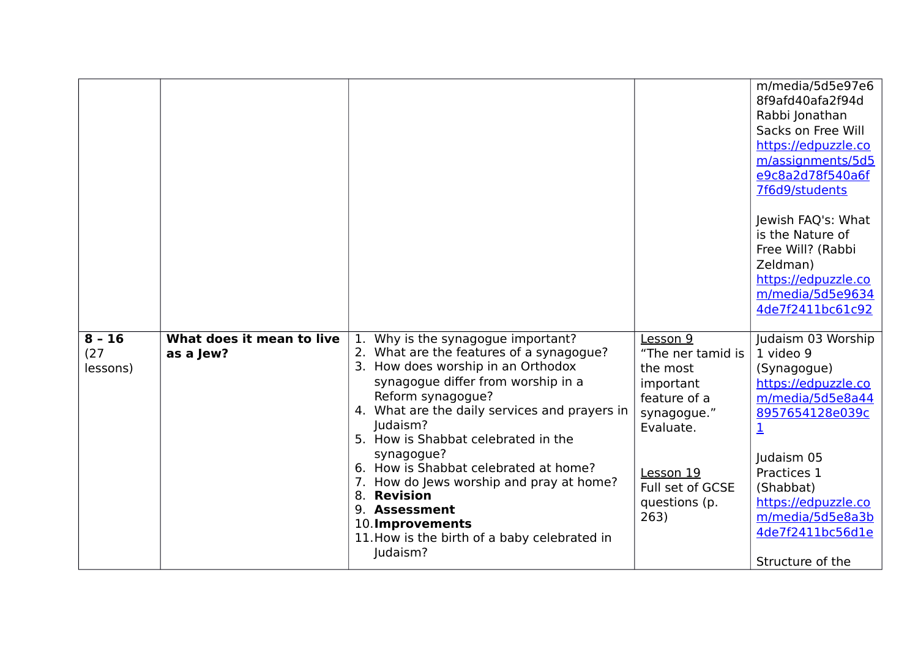|                              |                                        |                                                                                                                                                               |                                                        | m/media/5d5e97e6<br>8f9afd40afa2f94d<br>Rabbi Jonathan<br>Sacks on Free Will<br>https://edpuzzle.co<br>m/assignments/5d5<br>e9c8a2d78f540a6f<br>7f6d9/students<br>Jewish FAQ's: What<br>is the Nature of<br>Free Will? (Rabbi<br>Zeldman)<br>https://edpuzzle.co<br>m/media/5d5e9634<br>4de7f2411bc61c92 |
|------------------------------|----------------------------------------|---------------------------------------------------------------------------------------------------------------------------------------------------------------|--------------------------------------------------------|----------------------------------------------------------------------------------------------------------------------------------------------------------------------------------------------------------------------------------------------------------------------------------------------------------|
| $8 - 16$<br>(27)<br>lessons) | What does it mean to live<br>as a Jew? | Why is the synagogue important?<br>1.<br>2. What are the features of a synagogue?<br>3. How does worship in an Orthodox<br>synagogue differ from worship in a | Lesson 9<br>"The ner tamid is<br>the most<br>important | Judaism 03 Worship<br>1 video 9<br>(Synagogue)<br>https://edpuzzle.co                                                                                                                                                                                                                                    |
|                              |                                        | Reform synagogue?                                                                                                                                             | feature of a                                           | m/media/5d5e8a44                                                                                                                                                                                                                                                                                         |
|                              |                                        | 4. What are the daily services and prayers in<br>Judaism?                                                                                                     | synagogue."<br>Evaluate.                               | 8957654128e039c<br>1                                                                                                                                                                                                                                                                                     |
|                              |                                        | 5. How is Shabbat celebrated in the<br>synagogue?                                                                                                             |                                                        |                                                                                                                                                                                                                                                                                                          |
|                              |                                        | 6. How is Shabbat celebrated at home?                                                                                                                         | Lesson 19                                              | Judaism 05<br>Practices 1                                                                                                                                                                                                                                                                                |
|                              |                                        | How do Jews worship and pray at home?<br>7.                                                                                                                   | Full set of GCSE                                       | (Shabbat)                                                                                                                                                                                                                                                                                                |
|                              |                                        | <b>Revision</b><br>8.<br>9. Assessment                                                                                                                        | questions (p.                                          | https://edpuzzle.co                                                                                                                                                                                                                                                                                      |
|                              |                                        | 10. Improvements                                                                                                                                              | 263)                                                   | m/media/5d5e8a3b                                                                                                                                                                                                                                                                                         |
|                              |                                        | 11. How is the birth of a baby celebrated in                                                                                                                  |                                                        | 4de7f2411bc56d1e                                                                                                                                                                                                                                                                                         |
|                              |                                        | Judaism?                                                                                                                                                      |                                                        | Structure of the                                                                                                                                                                                                                                                                                         |
|                              |                                        |                                                                                                                                                               |                                                        |                                                                                                                                                                                                                                                                                                          |